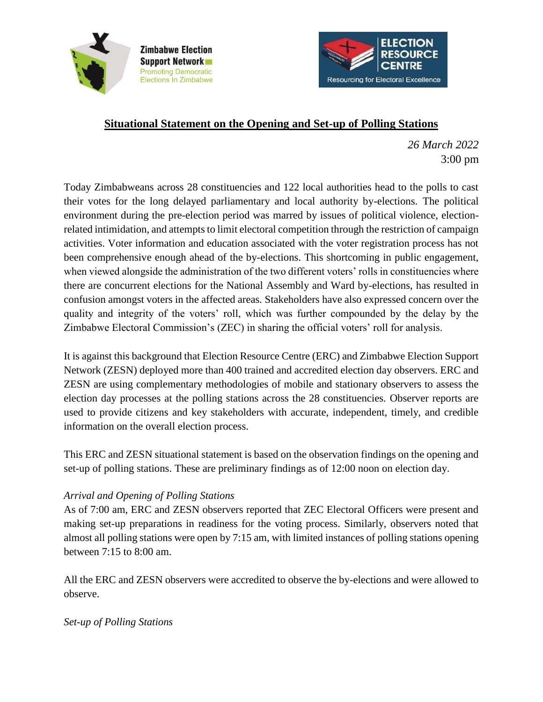



# **Situational Statement on the Opening and Set-up of Polling Stations**

*26 March 2022* 3:00 pm

Today Zimbabweans across 28 constituencies and 122 local authorities head to the polls to cast their votes for the long delayed parliamentary and local authority by-elections. The political environment during the pre-election period was marred by issues of political violence, electionrelated intimidation, and attempts to limit electoral competition through the restriction of campaign activities. Voter information and education associated with the voter registration process has not been comprehensive enough ahead of the by-elections. This shortcoming in public engagement, when viewed alongside the administration of the two different voters' rolls in constituencies where there are concurrent elections for the National Assembly and Ward by-elections, has resulted in confusion amongst voters in the affected areas*.* Stakeholders have also expressed concern over the quality and integrity of the voters' roll, which was further compounded by the delay by the Zimbabwe Electoral Commission's (ZEC) in sharing the official voters' roll for analysis.

It is against this background that Election Resource Centre (ERC) and Zimbabwe Election Support Network (ZESN) deployed more than 400 trained and accredited election day observers. ERC and ZESN are using complementary methodologies of mobile and stationary observers to assess the election day processes at the polling stations across the 28 constituencies. Observer reports are used to provide citizens and key stakeholders with accurate, independent, timely, and credible information on the overall election process.

This ERC and ZESN situational statement is based on the observation findings on the opening and set-up of polling stations. These are preliminary findings as of 12:00 noon on election day.

## *Arrival and Opening of Polling Stations*

As of 7:00 am, ERC and ZESN observers reported that ZEC Electoral Officers were present and making set-up preparations in readiness for the voting process. Similarly, observers noted that almost all polling stations were open by 7:15 am, with limited instances of polling stations opening between 7:15 to 8:00 am.

All the ERC and ZESN observers were accredited to observe the by-elections and were allowed to observe.

## *Set-up of Polling Stations*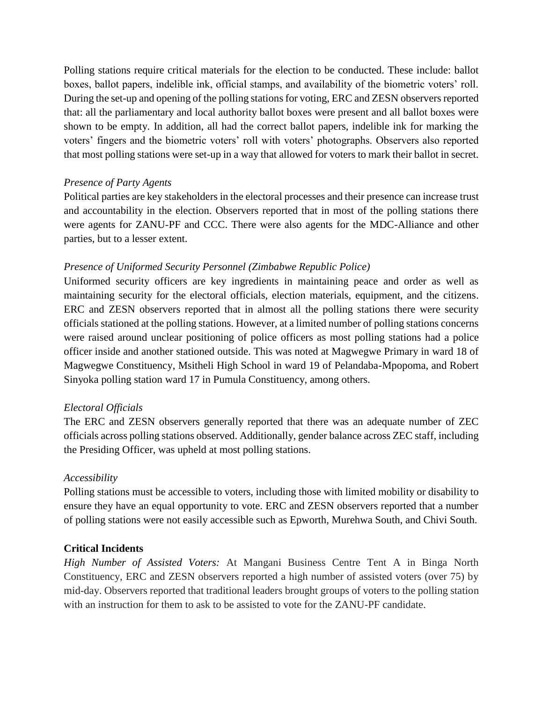Polling stations require critical materials for the election to be conducted. These include: ballot boxes, ballot papers, indelible ink, official stamps, and availability of the biometric voters' roll. During the set-up and opening of the polling stations for voting, ERC and ZESN observers reported that: all the parliamentary and local authority ballot boxes were present and all ballot boxes were shown to be empty. In addition, all had the correct ballot papers, indelible ink for marking the voters' fingers and the biometric voters' roll with voters' photographs. Observers also reported that most polling stations were set-up in a way that allowed for voters to mark their ballot in secret.

#### *Presence of Party Agents*

Political parties are key stakeholders in the electoral processes and their presence can increase trust and accountability in the election. Observers reported that in most of the polling stations there were agents for ZANU-PF and CCC. There were also agents for the MDC-Alliance and other parties, but to a lesser extent.

### *Presence of Uniformed Security Personnel (Zimbabwe Republic Police)*

Uniformed security officers are key ingredients in maintaining peace and order as well as maintaining security for the electoral officials, election materials, equipment, and the citizens. ERC and ZESN observers reported that in almost all the polling stations there were security officials stationed at the polling stations. However, at a limited number of polling stations concerns were raised around unclear positioning of police officers as most polling stations had a police officer inside and another stationed outside. This was noted at Magwegwe Primary in ward 18 of Magwegwe Constituency, Msitheli High School in ward 19 of Pelandaba-Mpopoma, and Robert Sinyoka polling station ward 17 in Pumula Constituency, among others.

### *Electoral Officials*

The ERC and ZESN observers generally reported that there was an adequate number of ZEC officials across polling stations observed. Additionally, gender balance across ZEC staff, including the Presiding Officer, was upheld at most polling stations.

### *Accessibility*

Polling stations must be accessible to voters, including those with limited mobility or disability to ensure they have an equal opportunity to vote. ERC and ZESN observers reported that a number of polling stations were not easily accessible such as Epworth, Murehwa South, and Chivi South.

### **Critical Incidents**

*High Number of Assisted Voters:* At Mangani Business Centre Tent A in Binga North Constituency, ERC and ZESN observers reported a high number of assisted voters (over 75) by mid-day. Observers reported that traditional leaders brought groups of voters to the polling station with an instruction for them to ask to be assisted to vote for the ZANU-PF candidate.